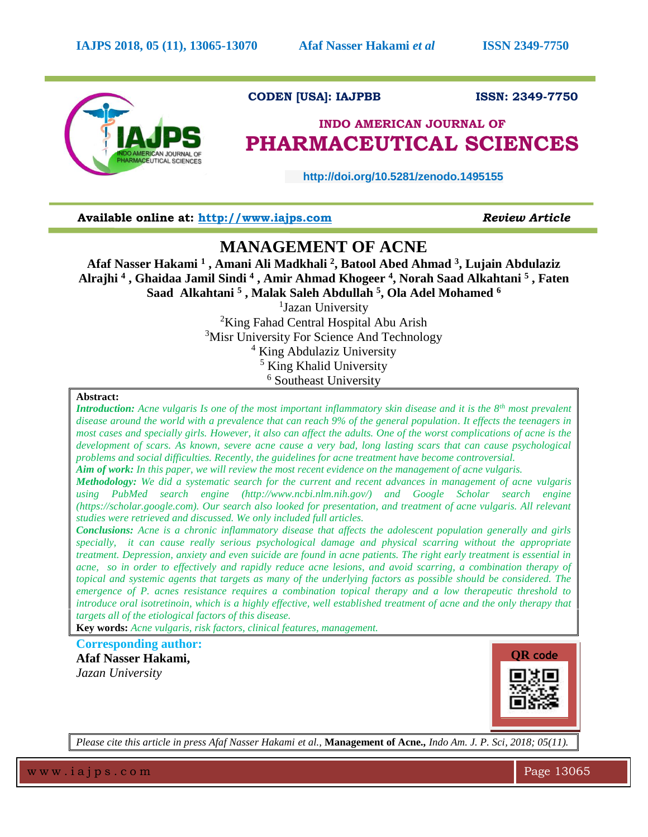

# **CODEN [USA]: IAJPBB ISSN: 2349-7750**

# **INDO AMERICAN JOURNAL OF PHARMACEUTICAL SCIENCES**

 **http://doi.org/10.5281/zenodo.1495155** 

**Available online at: [http://www.iajps.com](http://www.iajps.com/)** *Review Article*

# **MANAGEMENT OF ACNE**

**Afaf Nasser Hakami <sup>1</sup> , Amani Ali Madkhali <sup>2</sup> , Batool Abed Ahmad <sup>3</sup> , Lujain Abdulaziz Alrajhi <sup>4</sup> , Ghaidaa Jamil Sindi <sup>4</sup> , Amir Ahmad Khogeer <sup>4</sup> , Norah Saad Alkahtani <sup>5</sup> , Faten Saad Alkahtani <sup>5</sup> , Malak Saleh Abdullah <sup>5</sup> , Ola Adel Mohamed <sup>6</sup>**

<sup>1</sup>Jazan University <sup>2</sup>King Fahad Central Hospital Abu Arish <sup>3</sup>Misr University For Science And Technology <sup>4</sup> King Abdulaziz University <sup>5</sup> King Khalid University <sup>6</sup> Southeast University

#### **Abstract:**

*Introduction: Acne vulgaris Is one of the most important inflammatory skin disease and it is the 8th most prevalent disease around the world with a prevalence that can reach 9% of the general population. It effects the teenagers in most cases and specially girls. However, it also can affect the adults. One of the worst complications of acne is the development of scars. As known, severe acne cause a very bad, long lasting scars that can cause psychological problems and social difficulties. Recently, the guidelines for acne treatment have become controversial.*

*Aim of work: In this paper, we will review the most recent evidence on the management of acne vulgaris.*

*Methodology: We did a systematic search for the current and recent advances in management of acne vulgaris using PubMed search engine (http://www.ncbi.nlm.nih.gov/) and Google Scholar search engine (https://scholar.google.com). Our search also looked for presentation, and treatment of acne vulgaris. All relevant studies were retrieved and discussed. We only included full articles.*

*Conclusions: Acne is a chronic inflammatory disease that affects the adolescent population generally and girls specially, it can cause really serious psychological damage and physical scarring without the appropriate treatment. Depression, anxiety and even suicide are found in acne patients. The right early treatment is essential in acne, so in order to effectively and rapidly reduce acne lesions, and avoid scarring, a combination therapy of topical and systemic agents that targets as many of the underlying factors as possible should be considered. The emergence of P. acnes resistance requires a combination topical therapy and a low therapeutic threshold to introduce oral isotretinoin, which is a highly effective, well established treatment of acne and the only therapy that targets all of the etiological factors of this disease.*

**Key words:** *Acne vulgaris, risk factors, clinical features, management.*

**Corresponding author:** 

**Afaf Nasser Hakami,** *Jazan University*



*Please cite this article in press Afaf Nasser Hakami et al.,* **Management of Acne***., Indo Am. J. P. Sci, 2018; 05(11).*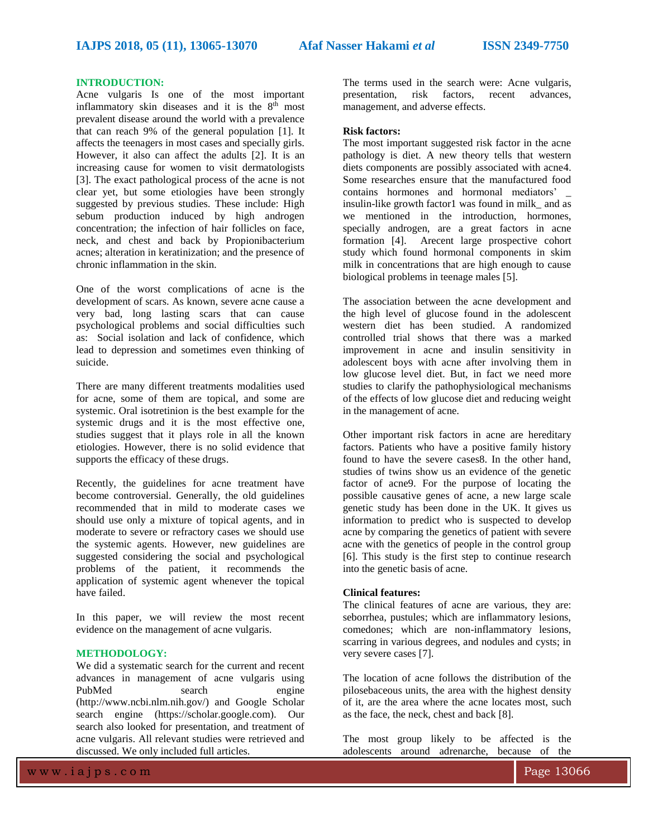# **INTRODUCTION:**

Acne vulgaris Is one of the most important inflammatory skin diseases and it is the  $8<sup>th</sup>$  most prevalent disease around the world with a prevalence that can reach 9% of the general population [1]. It affects the teenagers in most cases and specially girls. However, it also can affect the adults [2]. It is an increasing cause for women to visit dermatologists [3]. The exact pathological process of the acne is not clear yet, but some etiologies have been strongly suggested by previous studies. These include: High sebum production induced by high androgen concentration; the infection of hair follicles on face, neck, and chest and back by Propionibacterium acnes; alteration in keratinization; and the presence of chronic inflammation in the skin.

One of the worst complications of acne is the development of scars. As known, severe acne cause a very bad, long lasting scars that can cause psychological problems and social difficulties such as: Social isolation and lack of confidence, which lead to depression and sometimes even thinking of suicide.

There are many different treatments modalities used for acne, some of them are topical, and some are systemic. Oral isotretinion is the best example for the systemic drugs and it is the most effective one, studies suggest that it plays role in all the known etiologies. However, there is no solid evidence that supports the efficacy of these drugs.

Recently, the guidelines for acne treatment have become controversial. Generally, the old guidelines recommended that in mild to moderate cases we should use only a mixture of topical agents, and in moderate to severe or refractory cases we should use the systemic agents. However, new guidelines are suggested considering the social and psychological problems of the patient, it recommends the application of systemic agent whenever the topical have failed.

In this paper, we will review the most recent evidence on the management of acne vulgaris.

#### **METHODOLOGY:**

We did a systematic search for the current and recent advances in management of acne vulgaris using PubMed search engine (http://www.ncbi.nlm.nih.gov/) and Google Scholar search engine (https://scholar.google.com). Our search also looked for presentation, and treatment of acne vulgaris. All relevant studies were retrieved and discussed. We only included full articles.

The terms used in the search were: Acne vulgaris, presentation, risk factors, recent advances, management, and adverse effects.

#### **Risk factors:**

The most important suggested risk factor in the acne pathology is diet. A new theory tells that western diets components are possibly associated with acne4. Some researches ensure that the manufactured food contains hormones and hormonal mediators' \_ insulin-like growth factor1 was found in milk\_ and as we mentioned in the introduction, hormones, specially androgen, are a great factors in acne formation [4]. Arecent large prospective cohort study which found hormonal components in skim milk in concentrations that are high enough to cause biological problems in teenage males [5].

The association between the acne development and the high level of glucose found in the adolescent western diet has been studied. A randomized controlled trial shows that there was a marked improvement in acne and insulin sensitivity in adolescent boys with acne after involving them in low glucose level diet. But, in fact we need more studies to clarify the pathophysiological mechanisms of the effects of low glucose diet and reducing weight in the management of acne.

Other important risk factors in acne are hereditary factors. Patients who have a positive family history found to have the severe cases8. In the other hand, studies of twins show us an evidence of the genetic factor of acne9. For the purpose of locating the possible causative genes of acne, a new large scale genetic study has been done in the UK. It gives us information to predict who is suspected to develop acne by comparing the genetics of patient with severe acne with the genetics of people in the control group [6]. This study is the first step to continue research into the genetic basis of acne.

## **Clinical features:**

The clinical features of acne are various, they are: seborrhea, pustules; which are inflammatory lesions, comedones; which are non-inflammatory lesions, scarring in various degrees, and nodules and cysts; in very severe cases [7].

The location of acne follows the distribution of the pilosebaceous units, the area with the highest density of it, are the area where the acne locates most, such as the face, the neck, chest and back [8].

The most group likely to be affected is the adolescents around adrenarche, because of the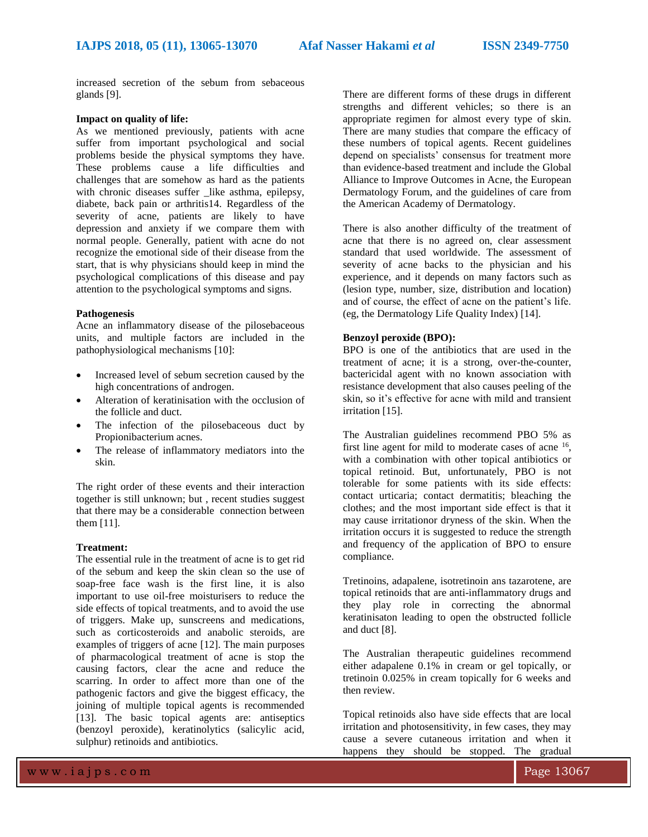increased secretion of the sebum from sebaceous glands [9].

## **Impact on quality of life:**

As we mentioned previously, patients with acne suffer from important psychological and social problems beside the physical symptoms they have. These problems cause a life difficulties and challenges that are somehow as hard as the patients with chronic diseases suffer \_like asthma, epilepsy, diabete, back pain or arthritis14. Regardless of the severity of acne, patients are likely to have depression and anxiety if we compare them with normal people. Generally, patient with acne do not recognize the emotional side of their disease from the start, that is why physicians should keep in mind the psychological complications of this disease and pay attention to the psychological symptoms and signs.

#### **Pathogenesis**

Acne an inflammatory disease of the pilosebaceous units, and multiple factors are included in the pathophysiological mechanisms [10]:

- Increased level of sebum secretion caused by the high concentrations of androgen.
- Alteration of keratinisation with the occlusion of the follicle and duct.
- The infection of the pilosebaceous duct by Propionibacterium acnes.
- The release of inflammatory mediators into the skin.

The right order of these events and their interaction together is still unknown; but , recent studies suggest that there may be a considerable connection between them [11].

#### **Treatment:**

The essential rule in the treatment of acne is to get rid of the sebum and keep the skin clean so the use of soap-free face wash is the first line, it is also important to use oil-free moisturisers to reduce the side effects of topical treatments, and to avoid the use of triggers. Make up, sunscreens and medications, such as corticosteroids and anabolic steroids, are examples of triggers of acne [12]. The main purposes of pharmacological treatment of acne is stop the causing factors, clear the acne and reduce the scarring. In order to affect more than one of the pathogenic factors and give the biggest efficacy, the joining of multiple topical agents is recommended [13]. The basic topical agents are: antiseptics (benzoyl peroxide), keratinolytics (salicylic acid, sulphur) retinoids and antibiotics.

There are different forms of these drugs in different strengths and different vehicles; so there is an appropriate regimen for almost every type of skin. There are many studies that compare the efficacy of these numbers of topical agents. Recent guidelines depend on specialists' consensus for treatment more than evidence-based treatment and include the Global Alliance to Improve Outcomes in Acne, the European Dermatology Forum, and the guidelines of care from the American Academy of Dermatology.

There is also another difficulty of the treatment of acne that there is no agreed on, clear assessment standard that used worldwide. The assessment of severity of acne backs to the physician and his experience, and it depends on many factors such as (lesion type, number, size, distribution and location) and of course, the effect of acne on the patient's life. (eg, the Dermatology Life Quality Index) [14].

#### **Benzoyl peroxide (BPO):**

BPO is one of the antibiotics that are used in the treatment of acne; it is a strong, over-the-counter, bactericidal agent with no known association with resistance development that also causes peeling of the skin, so it's effective for acne with mild and transient irritation [15].

The Australian guidelines recommend PBO 5% as first line agent for mild to moderate cases of acne <sup>16</sup>, with a combination with other topical antibiotics or topical retinoid. But, unfortunately, PBO is not tolerable for some patients with its side effects: contact urticaria; contact dermatitis; bleaching the clothes; and the most important side effect is that it may cause irritationor dryness of the skin. When the irritation occurs it is suggested to reduce the strength and frequency of the application of BPO to ensure compliance.

Tretinoins, adapalene, isotretinoin ans tazarotene, are topical retinoids that are anti-inflammatory drugs and they play role in correcting the abnormal keratinisaton leading to open the obstructed follicle and duct [8].

The Australian therapeutic guidelines recommend either adapalene 0.1% in cream or gel topically, or tretinoin 0.025% in cream topically for 6 weeks and then review.

Topical retinoids also have side effects that are local irritation and photosensitivity, in few cases, they may cause a severe cutaneous irritation and when it happens they should be stopped. The gradual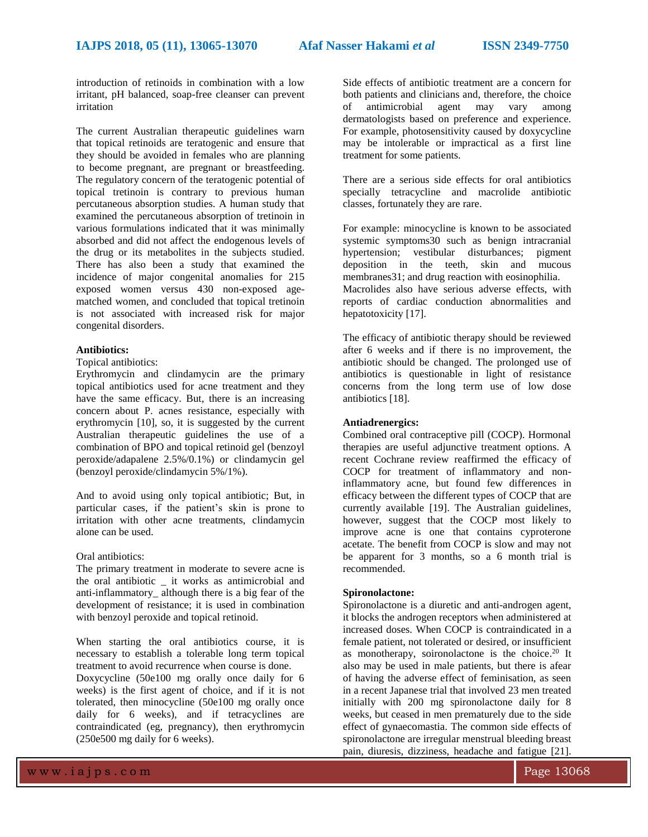introduction of retinoids in combination with a low irritant, pH balanced, soap-free cleanser can prevent irritation

The current Australian therapeutic guidelines warn that topical retinoids are teratogenic and ensure that they should be avoided in females who are planning to become pregnant, are pregnant or breastfeeding. The regulatory concern of the teratogenic potential of topical tretinoin is contrary to previous human percutaneous absorption studies. A human study that examined the percutaneous absorption of tretinoin in various formulations indicated that it was minimally absorbed and did not affect the endogenous levels of the drug or its metabolites in the subjects studied. There has also been a study that examined the incidence of major congenital anomalies for 215 exposed women versus 430 non-exposed agematched women, and concluded that topical tretinoin is not associated with increased risk for major congenital disorders.

#### **Antibiotics:**

Topical antibiotics:

Erythromycin and clindamycin are the primary topical antibiotics used for acne treatment and they have the same efficacy. But, there is an increasing concern about P. acnes resistance, especially with erythromycin [10], so, it is suggested by the current Australian therapeutic guidelines the use of a combination of BPO and topical retinoid gel (benzoyl peroxide/adapalene 2.5%/0.1%) or clindamycin gel (benzoyl peroxide/clindamycin 5%/1%).

And to avoid using only topical antibiotic; But, in particular cases, if the patient's skin is prone to irritation with other acne treatments, clindamycin alone can be used.

#### Oral antibiotics:

The primary treatment in moderate to severe acne is the oral antibiotic \_ it works as antimicrobial and anti-inflammatory\_ although there is a big fear of the development of resistance; it is used in combination with benzoyl peroxide and topical retinoid.

When starting the oral antibiotics course, it is necessary to establish a tolerable long term topical treatment to avoid recurrence when course is done.

Doxycycline (50e100 mg orally once daily for 6 weeks) is the first agent of choice, and if it is not tolerated, then minocycline (50e100 mg orally once daily for 6 weeks), and if tetracyclines are contraindicated (eg, pregnancy), then erythromycin (250e500 mg daily for 6 weeks).

Side effects of antibiotic treatment are a concern for both patients and clinicians and, therefore, the choice<br>of antimicrobial agent may vary among of antimicrobial agent may vary among dermatologists based on preference and experience. For example, photosensitivity caused by doxycycline may be intolerable or impractical as a first line treatment for some patients.

There are a serious side effects for oral antibiotics specially tetracycline and macrolide antibiotic classes, fortunately they are rare.

For example: minocycline is known to be associated systemic symptoms30 such as benign intracranial hypertension; vestibular disturbances; pigment deposition in the teeth, skin and mucous membranes31; and drug reaction with eosinophilia. Macrolides also have serious adverse effects, with reports of cardiac conduction abnormalities and hepatotoxicity [17].

The efficacy of antibiotic therapy should be reviewed after 6 weeks and if there is no improvement, the antibiotic should be changed. The prolonged use of antibiotics is questionable in light of resistance concerns from the long term use of low dose antibiotics [18].

#### **Antiadrenergics:**

Combined oral contraceptive pill (COCP). Hormonal therapies are useful adjunctive treatment options. A recent Cochrane review reaffirmed the efficacy of COCP for treatment of inflammatory and noninflammatory acne, but found few differences in efficacy between the different types of COCP that are currently available [19]. The Australian guidelines, however, suggest that the COCP most likely to improve acne is one that contains cyproterone acetate. The benefit from COCP is slow and may not be apparent for 3 months, so a 6 month trial is recommended.

# **Spironolactone:**

Spironolactone is a diuretic and anti-androgen agent, it blocks the androgen receptors when administered at increased doses. When COCP is contraindicated in a female patient, not tolerated or desired, or insufficient as monotherapy, soironolactone is the choice.<sup>20</sup> It also may be used in male patients, but there is afear of having the adverse effect of feminisation, as seen in a recent Japanese trial that involved 23 men treated initially with 200 mg spironolactone daily for 8 weeks, but ceased in men prematurely due to the side effect of gynaecomastia. The common side effects of spironolactone are irregular menstrual bleeding breast pain, diuresis, dizziness, headache and fatigue [21].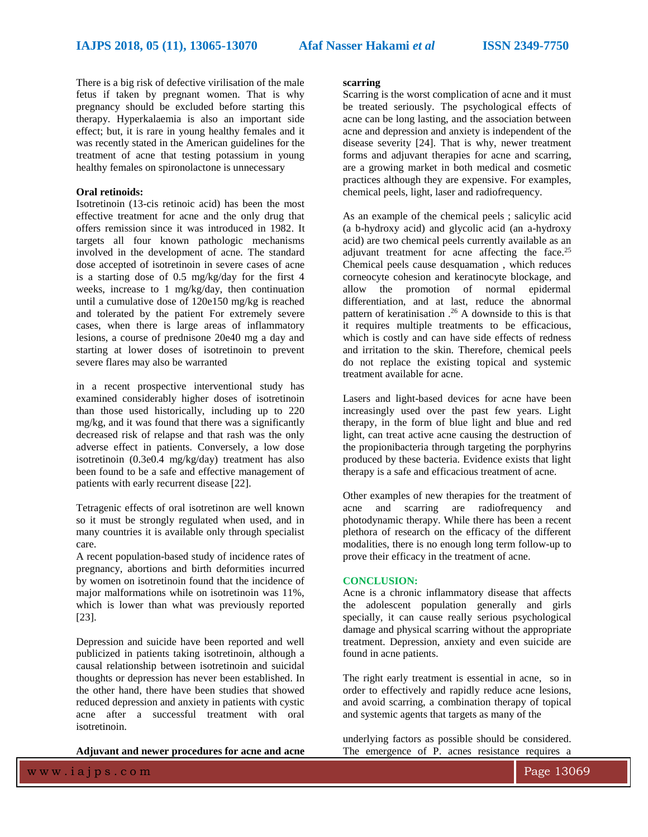There is a big risk of defective virilisation of the male fetus if taken by pregnant women. That is why pregnancy should be excluded before starting this therapy. Hyperkalaemia is also an important side effect; but, it is rare in young healthy females and it was recently stated in the American guidelines for the treatment of acne that testing potassium in young healthy females on spironolactone is unnecessary

## **Oral retinoids:**

Isotretinoin (13-cis retinoic acid) has been the most effective treatment for acne and the only drug that offers remission since it was introduced in 1982. It targets all four known pathologic mechanisms involved in the development of acne. The standard dose accepted of isotretinoin in severe cases of acne is a starting dose of 0.5 mg/kg/day for the first 4 weeks, increase to 1 mg/kg/day, then continuation until a cumulative dose of 120e150 mg/kg is reached and tolerated by the patient For extremely severe cases, when there is large areas of inflammatory lesions, a course of prednisone 20e40 mg a day and starting at lower doses of isotretinoin to prevent severe flares may also be warranted

in a recent prospective interventional study has examined considerably higher doses of isotretinoin than those used historically, including up to 220 mg/kg, and it was found that there was a significantly decreased risk of relapse and that rash was the only adverse effect in patients. Conversely, a low dose isotretinoin (0.3e0.4 mg/kg/day) treatment has also been found to be a safe and effective management of patients with early recurrent disease [22].

Tetragenic effects of oral isotretinon are well known so it must be strongly regulated when used, and in many countries it is available only through specialist care.

A recent population-based study of incidence rates of pregnancy, abortions and birth deformities incurred by women on isotretinoin found that the incidence of major malformations while on isotretinoin was 11%, which is lower than what was previously reported [23].

Depression and suicide have been reported and well publicized in patients taking isotretinoin, although a causal relationship between isotretinoin and suicidal thoughts or depression has never been established. In the other hand, there have been studies that showed reduced depression and anxiety in patients with cystic acne after a successful treatment with oral isotretinoin.

**Adjuvant and newer procedures for acne and acne** 

#### **scarring**

Scarring is the worst complication of acne and it must be treated seriously. The psychological effects of acne can be long lasting, and the association between acne and depression and anxiety is independent of the disease severity [24]. That is why, newer treatment forms and adjuvant therapies for acne and scarring, are a growing market in both medical and cosmetic practices although they are expensive. For examples, chemical peels, light, laser and radiofrequency.

As an example of the chemical peels ; salicylic acid (a b-hydroxy acid) and glycolic acid (an a-hydroxy acid) are two chemical peels currently available as an adjuvant treatment for acne affecting the face.<sup>25</sup> Chemical peels cause desquamation , which reduces corneocyte cohesion and keratinocyte blockage, and allow the promotion of normal epidermal differentiation, and at last, reduce the abnormal pattern of keratinisation . <sup>26</sup> A downside to this is that it requires multiple treatments to be efficacious, which is costly and can have side effects of redness and irritation to the skin. Therefore, chemical peels do not replace the existing topical and systemic treatment available for acne.

Lasers and light-based devices for acne have been increasingly used over the past few years. Light therapy, in the form of blue light and blue and red light, can treat active acne causing the destruction of the propionibacteria through targeting the porphyrins produced by these bacteria. Evidence exists that light therapy is a safe and efficacious treatment of acne.

Other examples of new therapies for the treatment of acne and scarring are radiofrequency and photodynamic therapy. While there has been a recent plethora of research on the efficacy of the different modalities, there is no enough long term follow-up to prove their efficacy in the treatment of acne.

#### **CONCLUSION:**

Acne is a chronic inflammatory disease that affects the adolescent population generally and girls specially, it can cause really serious psychological damage and physical scarring without the appropriate treatment. Depression, anxiety and even suicide are found in acne patients.

The right early treatment is essential in acne, so in order to effectively and rapidly reduce acne lesions, and avoid scarring, a combination therapy of topical and systemic agents that targets as many of the

underlying factors as possible should be considered. The emergence of P. acnes resistance requires a